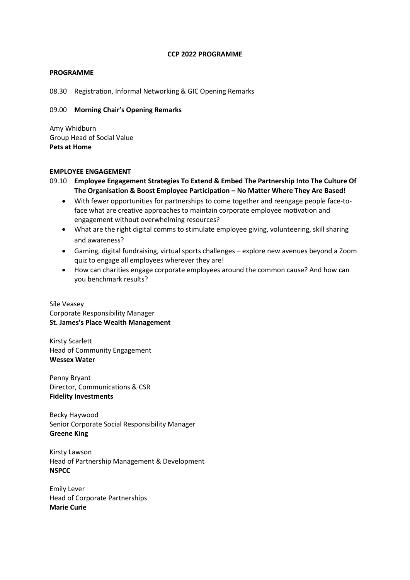#### **CCP 2022 PROGRAMME**

### **PROGRAMME**

08.30 Registration, Informal Networking & GIC Opening Remarks

## 09.00 **Morning Chair's Opening Remarks**

Amy Whidburn Group Head of Social Value **Pets at Home**

### **EMPLOYEE ENGAGEMENT**

09.10 **Employee Engagement Strategies To Extend & Embed The Partnership Into The Culture Of The Organisation & Boost Employee Participation – No Matter Where They Are Based!**

- With fewer opportunities for partnerships to come together and reengage people face-toface what are creative approaches to maintain corporate employee motivation and engagement without overwhelming resources?
- What are the right digital comms to stimulate employee giving, volunteering, skill sharing and awareness?
- Gaming, digital fundraising, virtual sports challenges explore new avenues beyond a Zoom quiz to engage all employees wherever they are!
- How can charities engage corporate employees around the common cause? And how can you benchmark results?

Síle Veasey Corporate Responsibility Manager **St. James's Place Wealth Management**

Kirsty Scarlett Head of Community Engagement **Wessex Water**

Penny Bryant Director, Communications & CSR **Fidelity Investments**

Becky Haywood Senior Corporate Social Responsibility Manager **Greene King**

Kirsty Lawson Head of Partnership Management & Development **NSPCC**

Emily Lever Head of Corporate Partnerships **Marie Curie**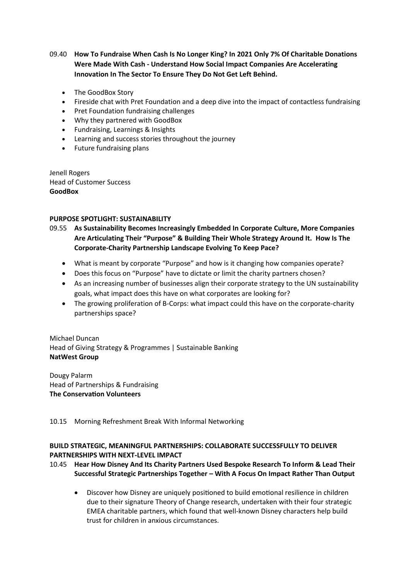09.40 **How To Fundraise When Cash Is No Longer King? In 2021 Only 7% Of Charitable Donations Were Made With Cash - Understand How Social Impact Companies Are Accelerating Innovation In The Sector To Ensure They Do Not Get Left Behind.**

- The GoodBox Story
- Fireside chat with Pret Foundation and a deep dive into the impact of contactless fundraising
- Pret Foundation fundraising challenges
- Why they partnered with GoodBox
- Fundraising, Learnings & Insights
- Learning and success stories throughout the journey
- Future fundraising plans

Jenell Rogers Head of Customer Success **GoodBox**

### **PURPOSE SPOTLIGHT: SUSTAINABILITY**

09.55 **As Sustainability Becomes Increasingly Embedded In Corporate Culture, More Companies Are Articulating Their "Purpose" & Building Their Whole Strategy Around It. How Is The Corporate-Charity Partnership Landscape Evolving To Keep Pace?**

- What is meant by corporate "Purpose" and how is it changing how companies operate?
- Does this focus on "Purpose" have to dictate or limit the charity partners chosen?
- As an increasing number of businesses align their corporate strategy to the UN sustainability goals, what impact does this have on what corporates are looking for?
- The growing proliferation of B-Corps: what impact could this have on the corporate-charity partnerships space?

Michael Duncan Head of Giving Strategy & Programmes | Sustainable Banking **NatWest Group**

Dougy Palarm Head of Partnerships & Fundraising **The Conservation Volunteers**

10.15 Morning Refreshment Break With Informal Networking

## **BUILD STRATEGIC, MEANINGFUL PARTNERSHIPS: COLLABORATE SUCCESSFULLY TO DELIVER PARTNERSHIPS WITH NEXT-LEVEL IMPACT**

## 10.45 **Hear How Disney And Its Charity Partners Used Bespoke Research To Inform & Lead Their Successful Strategic Partnerships Together – With A Focus On Impact Rather Than Output**

• Discover how Disney are uniquely positioned to build emotional resilience in children due to their signature Theory of Change research, undertaken with their four strategic EMEA charitable partners, which found that well-known Disney characters help build trust for children in anxious circumstances.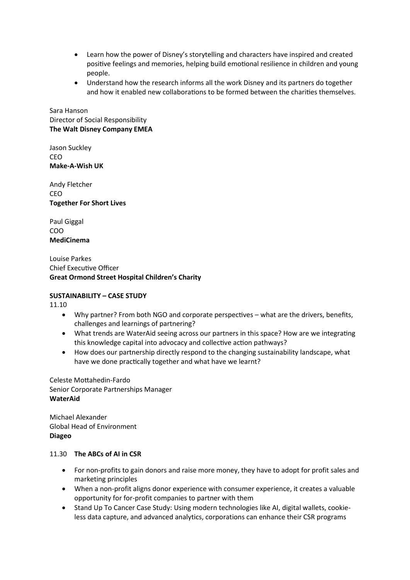- Learn how the power of Disney's storytelling and characters have inspired and created positive feelings and memories, helping build emotional resilience in children and young people.
- Understand how the research informs all the work Disney and its partners do together and how it enabled new collaborations to be formed between the charities themselves.

Sara Hanson Director of Social Responsibility **The Walt Disney Company EMEA**

Jason Suckley CEO **Make-A-Wish UK**

Andy Fletcher CEO **Together For Short Lives**

Paul Giggal COO **MediCinema**

Louise Parkes Chief Executive Officer **Great Ormond Street Hospital Children's Charity**

## **SUSTAINABILITY – CASE STUDY**

11.10

- Why partner? From both NGO and corporate perspectives what are the drivers, benefits, challenges and learnings of partnering?
- What trends are WaterAid seeing across our partners in this space? How are we integrating this knowledge capital into advocacy and collective action pathways?
- How does our partnership directly respond to the changing sustainability landscape, what have we done practically together and what have we learnt?

Celeste Mottahedin-Fardo Senior Corporate Partnerships Manager **WaterAid**

Michael Alexander Global Head of Environment **Diageo**

## 11.30 **The ABCs of AI in CSR**

- For non-profits to gain donors and raise more money, they have to adopt for profit sales and marketing principles
- When a non-profit aligns donor experience with consumer experience, it creates a valuable opportunity for for-profit companies to partner with them
- Stand Up To Cancer Case Study: Using modern technologies like AI, digital wallets, cookieless data capture, and advanced analytics, corporations can enhance their CSR programs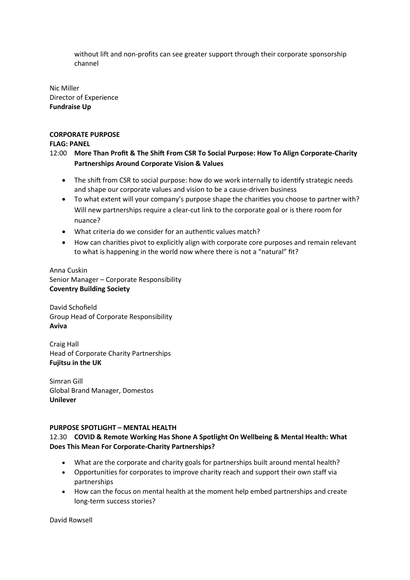without lift and non-profits can see greater support through their corporate sponsorship channel

Nic Miller Director of Experience **Fundraise Up**

## **CORPORATE PURPOSE**

## **FLAG: PANEL**

- 12:00 **More Than Profit & The Shift From CSR To Social Purpose: How To Align Corporate-Charity Partnerships Around Corporate Vision & Values**
	- The shift from CSR to social purpose: how do we work internally to identify strategic needs and shape our corporate values and vision to be a cause-driven business
	- To what extent will your company's purpose shape the charities you choose to partner with? Will new partnerships require a clear-cut link to the corporate goal or is there room for nuance?
	- What criteria do we consider for an authentic values match?
	- How can charities pivot to explicitly align with corporate core purposes and remain relevant to what is happening in the world now where there is not a "natural" fit?

Anna Cuskin Senior Manager – Corporate Responsibility **Coventry Building Society**

David Schofield Group Head of Corporate Responsibility **Aviva**

Craig Hall Head of Corporate Charity Partnerships **Fujitsu in the UK**

Simran Gill Global Brand Manager, Domestos **Unilever**

## **PURPOSE SPOTLIGHT – MENTAL HEALTH**

## 12.30 **COVID & Remote Working Has Shone A Spotlight On Wellbeing & Mental Health: What Does This Mean For Corporate-Charity Partnerships?**

- What are the corporate and charity goals for partnerships built around mental health?
- Opportunities for corporates to improve charity reach and support their own staff via partnerships
- How can the focus on mental health at the moment help embed partnerships and create long-term success stories?

David Rowsell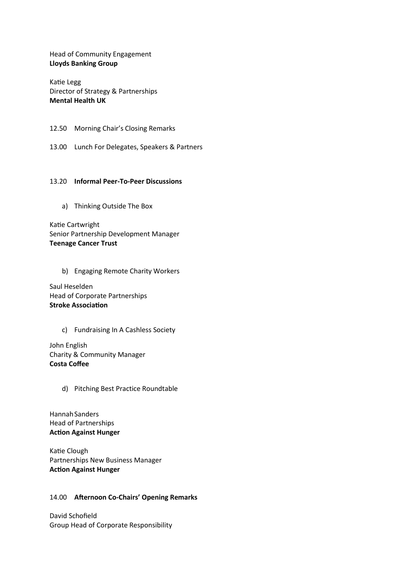Head of Community Engagement **Lloyds Banking Group**

Katie Legg Director of Strategy & Partnerships **Mental Health UK** 

12.50 Morning Chair's Closing Remarks

13.00 Lunch For Delegates, Speakers & Partners

#### 13.20 **Informal Peer-To-Peer Discussions**

a) Thinking Outside The Box

Katie Cartwright Senior Partnership Development Manager **Teenage Cancer Trust**

b) Engaging Remote Charity Workers

Saul Heselden Head of Corporate Partnerships **Stroke Association**

c) Fundraising In A Cashless Society

John English Charity & Community Manager **Costa Coffee**

d) Pitching Best Practice Roundtable

Hannah Sanders Head of Partnerships **Action Against Hunger**

Katie Clough Partnerships New Business Manager **Action Against Hunger**

#### 14.00 **Afternoon Co-Chairs' Opening Remarks**

David Schofield Group Head of Corporate Responsibility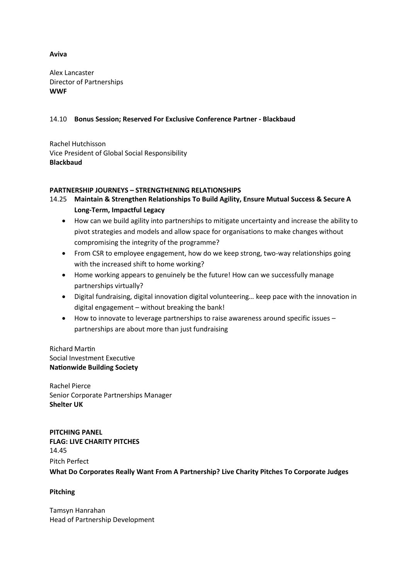## **Aviva**

Alex Lancaster Director of Partnerships **WWF**

## 14.10 **Bonus Session; Reserved For Exclusive Conference Partner - Blackbaud**

Rachel Hutchisson Vice President of Global Social Responsibility **Blackbaud**

## **PARTNERSHIP JOURNEYS – STRENGTHENING RELATIONSHIPS**

## 14.25 **Maintain & Strengthen Relationships To Build Agility, Ensure Mutual Success & Secure A Long-Term, Impactful Legacy**

- How can we build agility into partnerships to mitigate uncertainty and increase the ability to pivot strategies and models and allow space for organisations to make changes without compromising the integrity of the programme?
- From CSR to employee engagement, how do we keep strong, two-way relationships going with the increased shift to home working?
- Home working appears to genuinely be the future! How can we successfully manage partnerships virtually?
- Digital fundraising, digital innovation digital volunteering… keep pace with the innovation in digital engagement – without breaking the bank!
- How to innovate to leverage partnerships to raise awareness around specific issues partnerships are about more than just fundraising

Richard Martin Social Investment Executive **Nationwide Building Society**

Rachel Pierce Senior Corporate Partnerships Manager **Shelter UK**

**PITCHING PANEL FLAG: LIVE CHARITY PITCHES** 14.45 Pitch Perfect **What Do Corporates Really Want From A Partnership? Live Charity Pitches To Corporate Judges**

### **Pitching**

Tamsyn Hanrahan Head of Partnership Development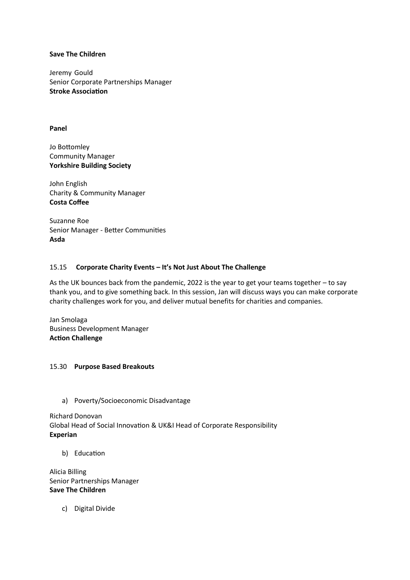#### **Save The Children**

Jeremy Gould Senior Corporate Partnerships Manager **Stroke Association**

#### **Panel**

Jo Bottomley Community Manager **Yorkshire Building Society**

John English Charity & Community Manager **Costa Coffee**

Suzanne Roe Senior Manager - Better Communities **Asda**

### 15.15 **Corporate Charity Events – It's Not Just About The Challenge**

As the UK bounces back from the pandemic, 2022 is the year to get your teams together – to say thank you, and to give something back. In this session, Jan will discuss ways you can make corporate charity challenges work for you, and deliver mutual benefits for charities and companies.

Jan Smolaga Business Development Manager **Action Challenge**

### 15.30 **Purpose Based Breakouts**

a) Poverty/Socioeconomic Disadvantage

Richard Donovan Global Head of Social Innovation & UK&I Head of Corporate Responsibility **Experian**

b) Education

Alicia Billing Senior Partnerships Manager **Save The Children**

c) Digital Divide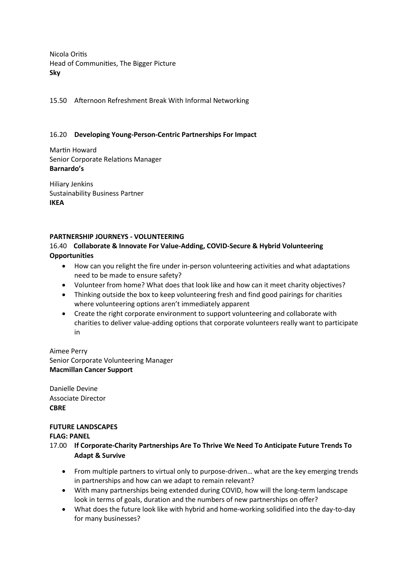Nicola Oritis Head of Communities, The Bigger Picture **Sky**

15.50 Afternoon Refreshment Break With Informal Networking

## 16.20 **Developing Young-Person-Centric Partnerships For Impact**

Martin Howard Senior Corporate Relations Manager **Barnardo's**

Hiliary Jenkins Sustainability Business Partner **IKEA**

## **PARTNERSHIP JOURNEYS - VOLUNTEERING**

## 16.40 **Collaborate & Innovate For Value-Adding, COVID-Secure & Hybrid Volunteering Opportunities**

- How can you relight the fire under in-person volunteering activities and what adaptations need to be made to ensure safety?
- Volunteer from home? What does that look like and how can it meet charity objectives?
- Thinking outside the box to keep volunteering fresh and find good pairings for charities where volunteering options aren't immediately apparent
- Create the right corporate environment to support volunteering and collaborate with charities to deliver value-adding options that corporate volunteers really want to participate in

## Aimee Perry Senior Corporate Volunteering Manager **Macmillan Cancer Support**

Danielle Devine Associate Director **CBRE**

# **FUTURE LANDSCAPES**

### **FLAG: PANEL**

- 17.00 **If Corporate-Charity Partnerships Are To Thrive We Need To Anticipate Future Trends To Adapt & Survive**
	- From multiple partners to virtual only to purpose-driven… what are the key emerging trends in partnerships and how can we adapt to remain relevant?
	- With many partnerships being extended during COVID, how will the long-term landscape look in terms of goals, duration and the numbers of new partnerships on offer?
	- What does the future look like with hybrid and home-working solidified into the day-to-day for many businesses?